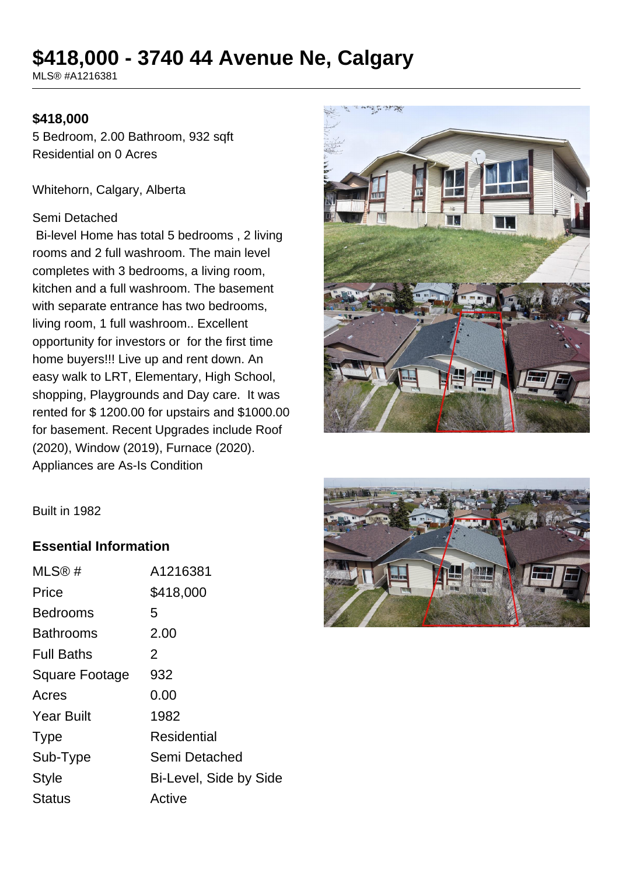# **\$418,000 - 3740 44 Avenue Ne, Calgary**

MLS® #A1216381

#### **\$418,000**

5 Bedroom, 2.00 Bathroom, 932 sqft Residential on 0 Acres

Whitehorn, Calgary, Alberta

#### Semi Detached

 Bi-level Home has total 5 bedrooms , 2 living rooms and 2 full washroom. The main level completes with 3 bedrooms, a living room, kitchen and a full washroom. The basement with separate entrance has two bedrooms, living room, 1 full washroom.. Excellent opportunity for investors or for the first time home buyers!!! Live up and rent down. An easy walk to LRT, Elementary, High School, shopping, Playgrounds and Day care. It was rented for \$ 1200.00 for upstairs and \$1000.00 for basement. Recent Upgrades include Roof (2020), Window (2019), Furnace (2020). Appliances are As-Is Condition





#### **Essential Information**

| MLS@#                 | A1216381               |
|-----------------------|------------------------|
| Price                 | \$418,000              |
| <b>Bedrooms</b>       | 5                      |
| <b>Bathrooms</b>      | 2.00                   |
| <b>Full Baths</b>     | 2                      |
| <b>Square Footage</b> | 932                    |
| Acres                 | 0.00                   |
| <b>Year Built</b>     | 1982                   |
| <b>Type</b>           | Residential            |
| Sub-Type              | Semi Detached          |
| <b>Style</b>          | Bi-Level, Side by Side |
| <b>Status</b>         | Active                 |
|                       |                        |